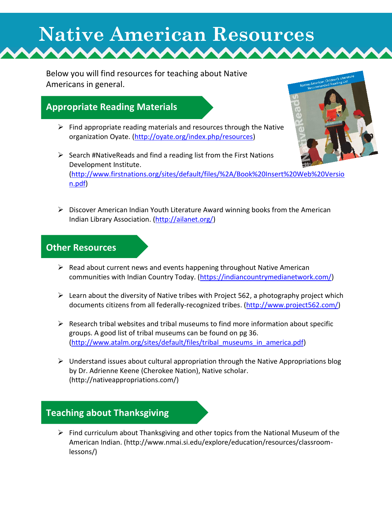# **Native American Resources**

Below you will find resources for teaching about Native Americans in general.

# **Appropriate Reading Materials**

- $\triangleright$  Find appropriate reading materials and resources through the Native organization Oyate. [\(http://oyate.org/index.php/resources\)](http://oyate.org/index.php/resources)
- $\triangleright$  Search #NativeReads and find a reading list from the First Nations Development Institute. [\(http://www.firstnations.org/sites/default/files/%2A/Book%20Insert%20Web%20Versio](http://www.firstnations.org/sites/default/files/%2A/Book%20Insert%20Web%20Version.pdf) [n.pdf\)](http://www.firstnations.org/sites/default/files/%2A/Book%20Insert%20Web%20Version.pdf)
- Discover American Indian Youth Literature Award winning books from the American Indian Library Association. [\(http://ailanet.org/\)](http://ailanet.org/)

#### **Other Resources**

- $\triangleright$  Read about current news and events happening throughout Native American communities with Indian Country Today. [\(https://indiancountrymedianetwork.com/\)](https://indiancountrymedianetwork.com/)
- $\triangleright$  Learn about the diversity of Native tribes with Project 562, a photography project which documents citizens from all federally-recognized tribes. [\(http://www.project562.com/\)](http://www.project562.com/)
- $\triangleright$  Research tribal websites and tribal museums to find more information about specific groups. A good list of tribal museums can be found on pg 36. [\(http://www.atalm.org/sites/default/files/tribal\\_museums\\_in\\_america.pdf\)](http://www.atalm.org/sites/default/files/tribal_museums_in_america.pdf)
- $\triangleright$  Understand issues about cultural appropriation through the Native Appropriations blog by Dr. Adrienne Keene (Cherokee Nation), Native scholar. (http://nativeappropriations.com/)

# **Teaching about Thanksgiving**

 $\triangleright$  Find curriculum about Thanksgiving and other topics from the National Museum of the American Indian. (http://www.nmai.si.edu/explore/education/resources/classroomlessons/)

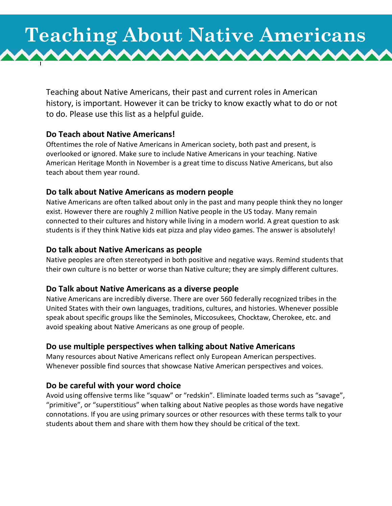# **Teaching About Native Americans**mmmmmmmmm

Teaching about Native Americans, their past and current roles in American history, is important. However it can be tricky to know exactly what to do or not to do. Please use this list as a helpful guide.

#### **Do Teach about Native Americans!**

Oftentimes the role of Native Americans in American society, both past and present, is overlooked or ignored. Make sure to include Native Americans in your teaching. Native American Heritage Month in November is a great time to discuss Native Americans, but also teach about them year round.

#### **Do talk about Native Americans as modern people**

Native Americans are often talked about only in the past and many people think they no longer exist. However there are roughly 2 million Native people in the US today. Many remain connected to their cultures and history while living in a modern world. A great question to ask students is if they think Native kids eat pizza and play video games. The answer is absolutely!

#### **Do talk about Native Americans as people**

Native peoples are often stereotyped in both positive and negative ways. Remind students that their own culture is no better or worse than Native culture; they are simply different cultures.

#### **Do Talk about Native Americans as a diverse people**

Native Americans are incredibly diverse. There are over 560 federally recognized tribes in the United States with their own languages, traditions, cultures, and histories. Whenever possible speak about specific groups like the Seminoles, Miccosukees, Chocktaw, Cherokee, etc. and avoid speaking about Native Americans as one group of people.

#### **Do use multiple perspectives when talking about Native Americans**

Many resources about Native Americans reflect only European American perspectives. Whenever possible find sources that showcase Native American perspectives and voices.

#### **Do be careful with your word choice**

Avoid using offensive terms like "squaw" or "redskin". Eliminate loaded terms such as "savage", "primitive", or "superstitious" when talking about Native peoples as those words have negative connotations. If you are using primary sources or other resources with these terms talk to your students about them and share with them how they should be critical of the text.